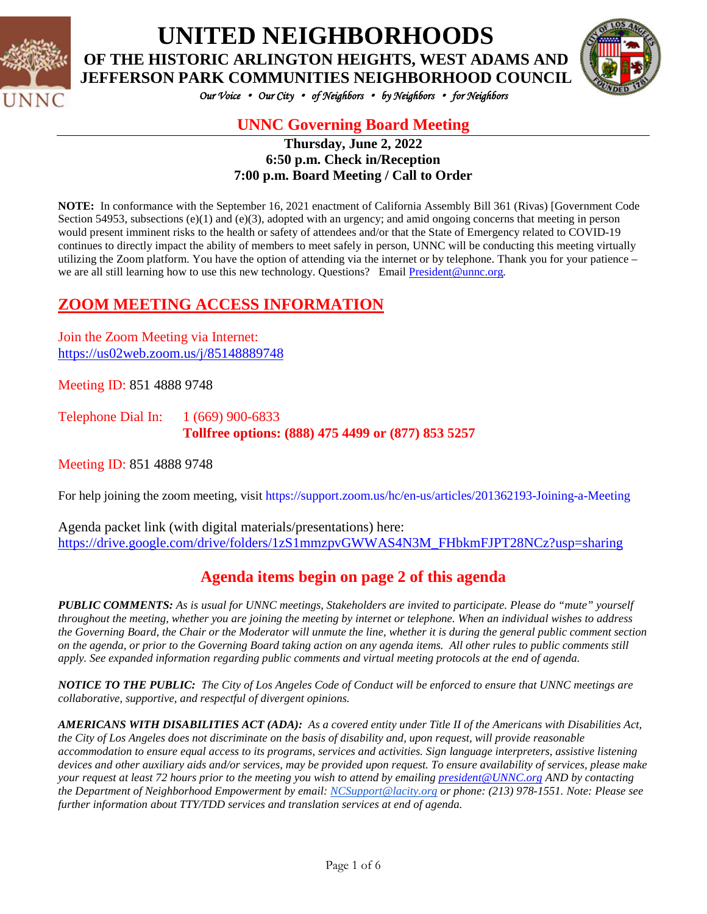



*Our Voice* • *Our City* • *of Neighbors* • *by Neighbors* • *for Neighbors* 

# **UNNC Governing Board Meeting**

**Thursday, June 2, 2022 6:50 p.m. Check in/Reception 7:00 p.m. Board Meeting / Call to Order**

**NOTE:** In conformance with the September 16, 2021 enactment of California Assembly Bill 361 (Rivas) [Government Code Section 54953, subsections (e)(1) and (e)(3), adopted with an urgency; and amid ongoing concerns that meeting in person would present imminent risks to the health or safety of attendees and/or that the State of Emergency related to COVID-19 continues to directly impact the ability of members to meet safely in person, UNNC will be conducting this meeting virtually utilizing the Zoom platform. You have the option of attending via the internet or by telephone. Thank you for your patience – we are all still learning how to use this new technology. Questions? Email **President@unnc.org**.

## **ZOOM MEETING ACCESS INFORMATION**

Join the Zoom Meeting via Internet: <https://us02web.zoom.us/j/85148889748>

Meeting ID: 851 4888 9748

Telephone Dial In: 1 (669) 900-6833 **Tollfree options: (888) 475 4499 or (877) 853 5257**

Meeting ID: 851 4888 9748

For help joining the zoom meeting, visit https://support.zoom.us/hc/en-us/articles/201362193-Joining-a-Meeting

Agenda packet link (with digital materials/presentations) here: [https://drive.google.com/drive/folders/1zS1mmzpvGWWAS4N3M\\_FHbkmFJPT28NCz?usp=sharing](https://drive.google.com/drive/folders/1zS1mmzpvGWWAS4N3M_FHbkmFJPT28NCz?usp=sharing)

# **Agenda items begin on page 2 of this agenda**

*PUBLIC COMMENTS: As is usual for UNNC meetings, Stakeholders are invited to participate. Please do "mute" yourself throughout the meeting, whether you are joining the meeting by internet or telephone. When an individual wishes to address the Governing Board, the Chair or the Moderator will unmute the line, whether it is during the general public comment section on the agenda, or prior to the Governing Board taking action on any agenda items. All other rules to public comments still apply. See expanded information regarding public comments and virtual meeting protocols at the end of agenda.*

*NOTICE TO THE PUBLIC: The City of Los Angeles Code of Conduct will be enforced to ensure that UNNC meetings are collaborative, supportive, and respectful of divergent opinions.* 

*AMERICANS WITH DISABILITIES ACT (ADA): As a covered entity under Title II of the Americans with Disabilities Act, the City of Los Angeles does not discriminate on the basis of disability and, upon request, will provide reasonable accommodation to ensure equal access to its programs, services and activities. Sign language interpreters, assistive listening devices and other auxiliary aids and/or services, may be provided upon request. To ensure availability of services, please make your request at least 72 hours prior to the meeting you wish to attend by emailing [president@UNNC.org](mailto:president@UNNC.org) AND by contacting the Department of Neighborhood Empowerment by email: [NCSupport@lacity.org](mailto:NCSupport@lacity.org) or phone: (213) 978-1551. Note: Please see further information about TTY/TDD services and translation services at end of agenda.*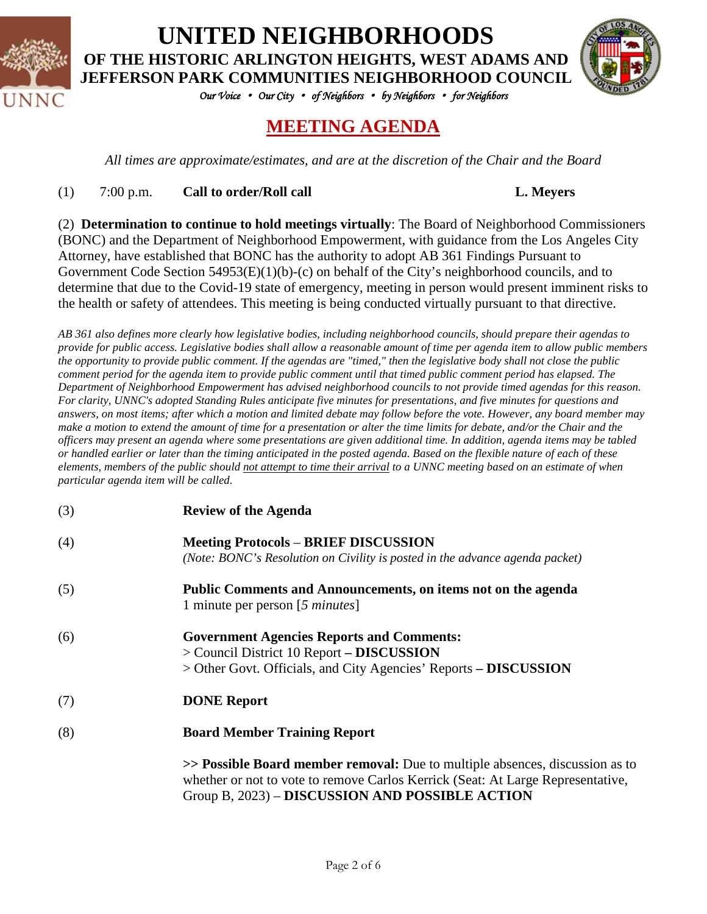



*Our Voice* • *Our City* • *of Neighbors* • *by Neighbors* • *for Neighbors* 

# **MEETING AGENDA**

*All times are approximate/estimates, and are at the discretion of the Chair and the Board*

#### (1) 7:00 p.m. **Call to order/Roll call L. Meyers**

(2) **Determination to continue to hold meetings virtually**: The Board of Neighborhood Commissioners (BONC) and the Department of Neighborhood Empowerment, with guidance from the Los Angeles City Attorney, have established that BONC has the authority to adopt AB 361 Findings Pursuant to Government Code Section 54953(E)(1)(b)-(c) on behalf of the City's neighborhood councils, and to determine that due to the Covid-19 state of emergency, meeting in person would present imminent risks to the health or safety of attendees. This meeting is being conducted virtually pursuant to that directive.

*AB 361 also defines more clearly how legislative bodies, including neighborhood councils, should prepare their agendas to provide for public access. Legislative bodies shall allow a reasonable amount of time per agenda item to allow public members the opportunity to provide public comment. If the agendas are "timed," then the legislative body shall not close the public comment period for the agenda item to provide public comment until that timed public comment period has elapsed. The Department of Neighborhood Empowerment has advised neighborhood councils to not provide timed agendas for this reason. For clarity, UNNC's adopted Standing Rules anticipate five minutes for presentations, and five minutes for questions and answers, on most items; after which a motion and limited debate may follow before the vote. However, any board member may make a motion to extend the amount of time for a presentation or alter the time limits for debate, and/or the Chair and the officers may present an agenda where some presentations are given additional time. In addition, agenda items may be tabled or handled earlier or later than the timing anticipated in the posted agenda. Based on the flexible nature of each of these elements, members of the public should not attempt to time their arrival to a UNNC meeting based on an estimate of when particular agenda item will be called.*

- (3) **Review of the Agenda**
- (4) **Meeting Protocols BRIEF DISCUSSION** *(Note: BONC's Resolution on Civility is posted in the advance agenda packet)*
- (5) **Public Comments and Announcements, on items not on the agenda** 1 minute per person [*5 minutes*]
- (6) **Government Agencies Reports and Comments:** > Council District 10 Report **– DISCUSSION** > Other Govt. Officials, and City Agencies' Reports **– DISCUSSION**
- (7) **DONE Report**
- (8) **Board Member Training Report**

**>> Possible Board member removal:** Due to multiple absences, discussion as to whether or not to vote to remove Carlos Kerrick (Seat: At Large Representative, Group B, 2023) – **DISCUSSION AND POSSIBLE ACTION**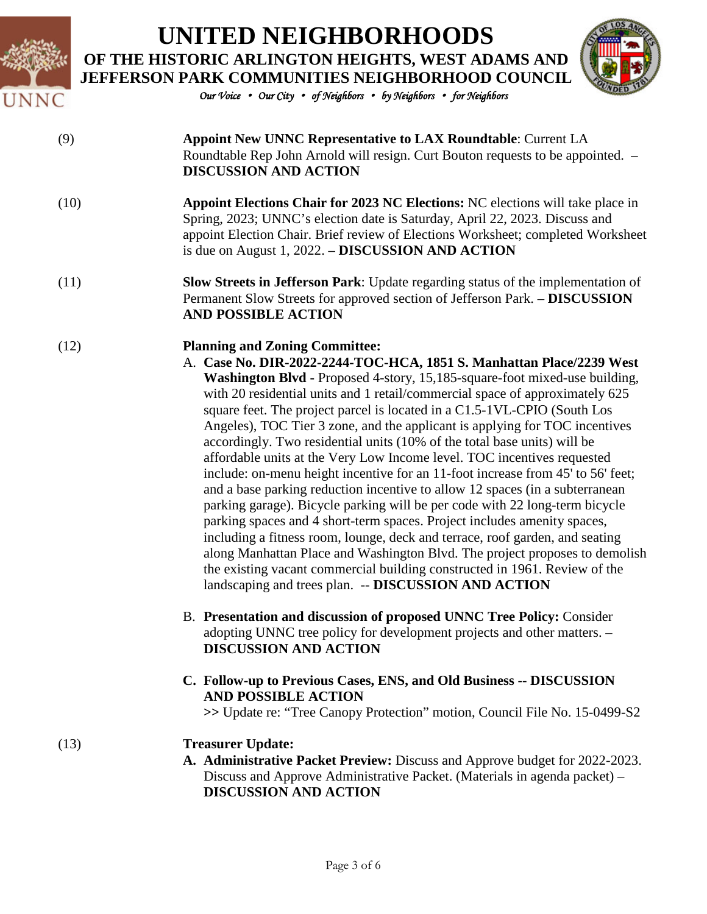



*Our Voice* • *Our City* • *of Neighbors* • *by Neighbors* • *for Neighbors* 

#### (9) **Appoint New UNNC Representative to LAX Roundtable**: Current LA Roundtable Rep John Arnold will resign. Curt Bouton requests to be appointed. – **DISCUSSION AND ACTION**

- (10) **Appoint Elections Chair for 2023 NC Elections:** NC elections will take place in Spring, 2023; UNNC's election date is Saturday, April 22, 2023. Discuss and appoint Election Chair. Brief review of Elections Worksheet; completed Worksheet is due on August 1, 2022. **– DISCUSSION AND ACTION**
- (11) **Slow Streets in Jefferson Park**: Update regarding status of the implementation of Permanent Slow Streets for approved section of Jefferson Park. – **DISCUSSION AND POSSIBLE ACTION**

#### (12) **Planning and Zoning Committee:**

- A. **Case No. DIR-2022-2244-TOC-HCA, 1851 S. Manhattan Place/2239 West Washington Blvd -** Proposed 4-story, 15,185-square-foot mixed-use building, with 20 residential units and 1 retail/commercial space of approximately 625 square feet. The project parcel is located in a C1.5-1VL-CPIO (South Los Angeles), TOC Tier 3 zone, and the applicant is applying for TOC incentives accordingly. Two residential units (10% of the total base units) will be affordable units at the Very Low Income level. TOC incentives requested include: on-menu height incentive for an 11-foot increase from 45' to 56' feet; and a base parking reduction incentive to allow 12 spaces (in a subterranean parking garage). Bicycle parking will be per code with 22 long-term bicycle parking spaces and 4 short-term spaces. Project includes amenity spaces, including a fitness room, lounge, deck and terrace, roof garden, and seating along Manhattan Place and Washington Blvd. The project proposes to demolish the existing vacant commercial building constructed in 1961. Review of the landscaping and trees plan. -- **DISCUSSION AND ACTION**
	- B. **Presentation and discussion of proposed UNNC Tree Policy:** Consider adopting UNNC tree policy for development projects and other matters. – **DISCUSSION AND ACTION**
	- **C. Follow-up to Previous Cases, ENS, and Old Business** -- **DISCUSSION AND POSSIBLE ACTION**

**>>** Update re: "Tree Canopy Protection" motion, Council File No. 15-0499-S2

#### (13) **Treasurer Update:**

**A. Administrative Packet Preview:** Discuss and Approve budget for 2022-2023. Discuss and Approve Administrative Packet. (Materials in agenda packet) – **DISCUSSION AND ACTION**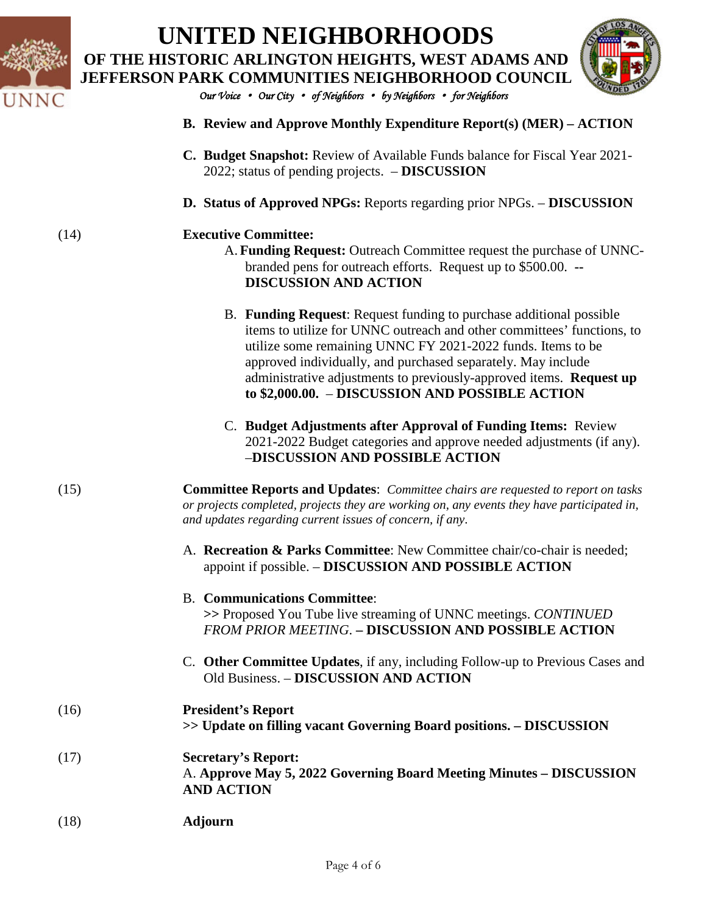



*Our Voice* • *Our City* • *of Neighbors* • *by Neighbors* • *for Neighbors* 

- **B. Review and Approve Monthly Expenditure Report(s) (MER) – ACTION**
- **C. Budget Snapshot:** Review of Available Funds balance for Fiscal Year 2021- 2022; status of pending projects. – **DISCUSSION**
- **D. Status of Approved NPGs:** Reports regarding prior NPGs. **DISCUSSION**

#### (14) **Executive Committee:**

- A. **Funding Request:** Outreach Committee request the purchase of UNNCbranded pens for outreach efforts. Request up to \$500.00. **-- DISCUSSION AND ACTION**
- B. **Funding Request**: Request funding to purchase additional possible items to utilize for UNNC outreach and other committees' functions, to utilize some remaining UNNC FY 2021-2022 funds. Items to be approved individually, and purchased separately. May include administrative adjustments to previously-approved items. **Request up to \$2,000.00.** – **DISCUSSION AND POSSIBLE ACTION**
- C. **Budget Adjustments after Approval of Funding Items:** Review 2021-2022 Budget categories and approve needed adjustments (if any). –**DISCUSSION AND POSSIBLE ACTION**
- (15) **Committee Reports and Updates**: *Committee chairs are requested to report on tasks or projects completed, projects they are working on, any events they have participated in, and updates regarding current issues of concern, if any*.
	- A. **Recreation & Parks Committee**: New Committee chair/co-chair is needed; appoint if possible. – **DISCUSSION AND POSSIBLE ACTION**

#### B. **Communications Committee**: **>>** Proposed You Tube live streaming of UNNC meetings. *CONTINUED FROM PRIOR MEETING*. **– DISCUSSION AND POSSIBLE ACTION**

C. **Other Committee Updates**, if any, including Follow-up to Previous Cases and Old Business. – **DISCUSSION AND ACTION**

#### (16) **President's Report**

**>> Update on filling vacant Governing Board positions. – DISCUSSION**

### (17) **Secretary's Report:**  A. **Approve May 5, 2022 Governing Board Meeting Minutes – DISCUSSION AND ACTION**

(18) **Adjourn**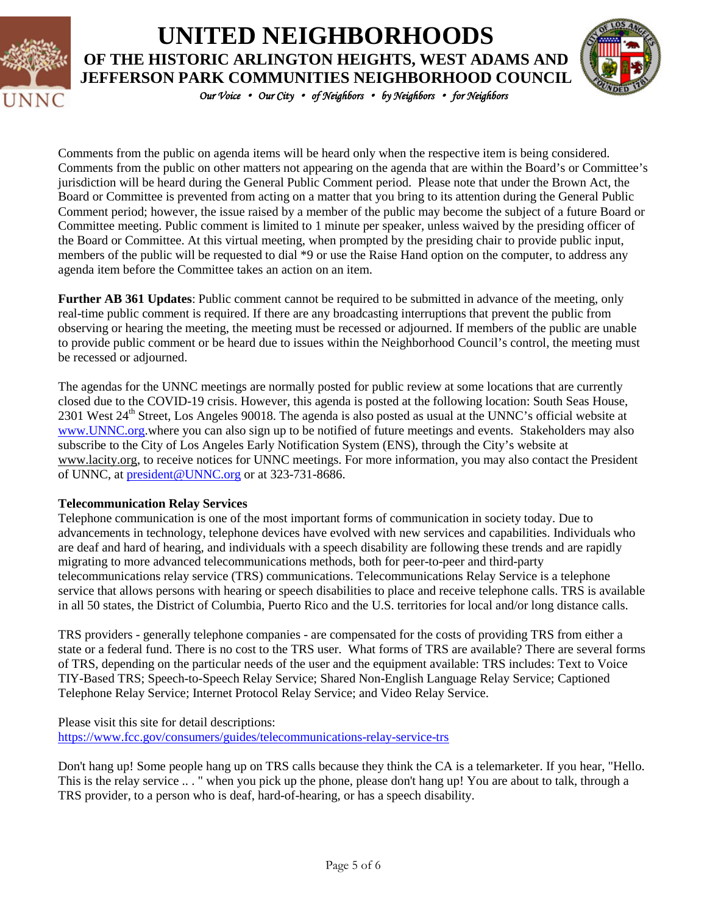



*Our Voice* • *Our City* • *of Neighbors* • *by Neighbors* • *for Neighbors* 

Comments from the public on agenda items will be heard only when the respective item is being considered. Comments from the public on other matters not appearing on the agenda that are within the Board's or Committee's jurisdiction will be heard during the General Public Comment period. Please note that under the Brown Act, the Board or Committee is prevented from acting on a matter that you bring to its attention during the General Public Comment period; however, the issue raised by a member of the public may become the subject of a future Board or Committee meeting. Public comment is limited to 1 minute per speaker, unless waived by the presiding officer of the Board or Committee. At this virtual meeting, when prompted by the presiding chair to provide public input, members of the public will be requested to dial \*9 or use the Raise Hand option on the computer, to address any agenda item before the Committee takes an action on an item.

**Further AB 361 Updates**: Public comment cannot be required to be submitted in advance of the meeting, only real-time public comment is required. If there are any broadcasting interruptions that prevent the public from observing or hearing the meeting, the meeting must be recessed or adjourned. If members of the public are unable to provide public comment or be heard due to issues within the Neighborhood Council's control, the meeting must be recessed or adjourned.

The agendas for the UNNC meetings are normally posted for public review at some locations that are currently closed due to the COVID-19 crisis. However, this agenda is posted at the following location: South Seas House, 2301 West 24<sup>th</sup> Street, Los Angeles 90018. The agenda is also posted as usual at the UNNC's official website at [www.UNNC.org.](http://www.unnc.org/)where you can also sign up to be notified of future meetings and events. Stakeholders may also subscribe to the City of Los Angeles Early Notification System (ENS), through the City's website at www.lacity.org, to receive notices for UNNC meetings. For more information, you may also contact the President of UNNC, at [president@UNNC.org](mailto:president@UNNC.org) or at 323-731-8686.

#### **Telecommunication Relay Services**

Telephone communication is one of the most important forms of communication in society today. Due to advancements in technology, telephone devices have evolved with new services and capabilities. Individuals who are deaf and hard of hearing, and individuals with a speech disability are following these trends and are rapidly migrating to more advanced telecommunications methods, both for peer-to-peer and third-party telecommunications relay service (TRS) communications. Telecommunications Relay Service is a telephone service that allows persons with hearing or speech disabilities to place and receive telephone calls. TRS is available in all 50 states, the District of Columbia, Puerto Rico and the U.S. territories for local and/or long distance calls.

TRS providers - generally telephone companies - are compensated for the costs of providing TRS from either a state or a federal fund. There is no cost to the TRS user. What forms of TRS are available? There are several forms of TRS, depending on the particular needs of the user and the equipment available: TRS includes: Text to Voice TIY-Based TRS; Speech-to-Speech Relay Service; Shared Non-English Language Relay Service; Captioned Telephone Relay Service; Internet Protocol Relay Service; and Video Relay Service.

Please visit this site for detail descriptions: <https://www.fcc.gov/consumers/guides/telecommunications-relay-service-trs>

Don't hang up! Some people hang up on TRS calls because they think the CA is a telemarketer. If you hear, "Hello. This is the relay service .. . " when you pick up the phone, please don't hang up! You are about to talk, through a TRS provider, to a person who is deaf, hard-of-hearing, or has a speech disability.